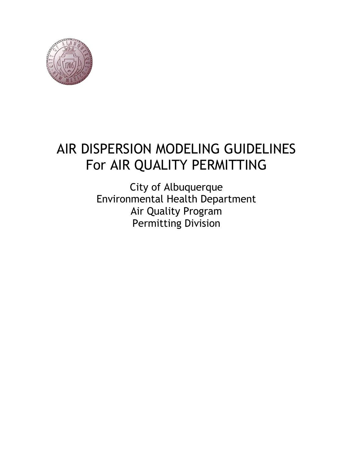

# AIR DISPERSION MODELING GUIDELINES For AIR QUALITY PERMITTING

City of Albuquerque Environmental Health Department Air Quality Program Permitting Division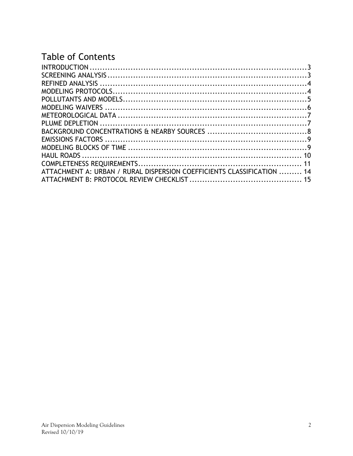# **Table of Contents**

| ATTACHMENT A: URBAN / RURAL DISPERSION COEFFICIENTS CLASSIFICATION  14 |  |
|------------------------------------------------------------------------|--|
|                                                                        |  |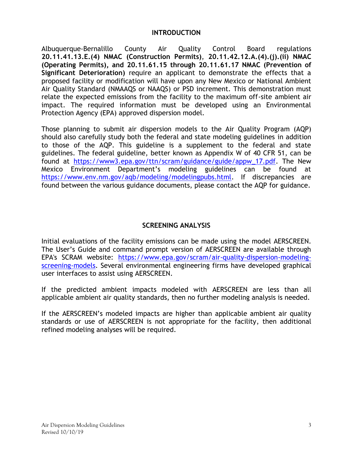#### **INTRODUCTION**

<span id="page-2-0"></span>Albuquerque-Bernalillo County Air Quality Control Board regulations **20.11.41.13.E.(4) NMAC (Construction Permits)**, **20.11.42.12.A.(4).(j).(ii) NMAC (Operating Permits), and 20.11.61.15 through 20.11.61.17 NMAC (Prevention of Significant Deterioration)** require an applicant to demonstrate the effects that a proposed facility or modification will have upon any New Mexico or National Ambient Air Quality Standard (NMAAQS or NAAQS) or PSD increment. This demonstration must relate the expected emissions from the facility to the maximum off-site ambient air impact. The required information must be developed using an Environmental Protection Agency (EPA) approved dispersion model.

Those planning to submit air dispersion models to the Air Quality Program (AQP) should also carefully study both the federal and state modeling guidelines in addition to those of the AQP. This guideline is a supplement to the federal and state guidelines. The federal guideline, better known as Appendix W of 40 CFR 51, can be found at [https://www3.epa.gov/ttn/scram/guidance/guide/appw\\_17.pdf.](https://www3.epa.gov/ttn/scram/guidance/guide/appw_17.pdf) The New Mexico Environment Department's modeling guidelines can be found at [https://www.env.nm.gov/aqb/modeling/modelingpubs.html.](https://www.env.nm.gov/aqb/modeling/modelingpubs.html) If discrepancies are found between the various guidance documents, please contact the AQP for guidance.

#### **SCREENING ANALYSIS**

<span id="page-2-1"></span>Initial evaluations of the facility emissions can be made using the model AERSCREEN. The User's Guide and command prompt version of AERSCREEN are available through EPA's SCRAM website: [https://www.epa.gov/scram/air-quality-dispersion-modeling](https://www.epa.gov/scram/air-quality-dispersion-modeling-screening-models)[screening-models.](https://www.epa.gov/scram/air-quality-dispersion-modeling-screening-models) Several environmental engineering firms have developed graphical user interfaces to assist using AERSCREEN.

If the predicted ambient impacts modeled with AERSCREEN are less than all applicable ambient air quality standards, then no further modeling analysis is needed.

If the AERSCREEN's modeled impacts are higher than applicable ambient air quality standards or use of AERSCREEN is not appropriate for the facility, then additional refined modeling analyses will be required.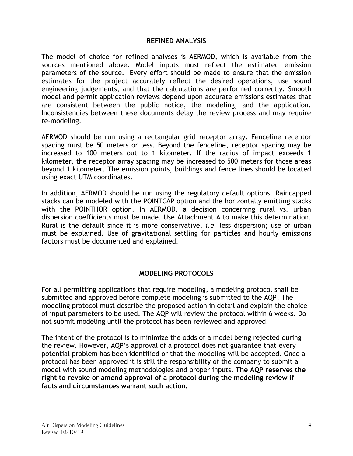#### **REFINED ANALYSIS**

<span id="page-3-0"></span>The model of choice for refined analyses is AERMOD, which is available from the sources mentioned above. Model inputs must reflect the estimated emission parameters of the source. Every effort should be made to ensure that the emission estimates for the project accurately reflect the desired operations, use sound engineering judgements, and that the calculations are performed correctly. Smooth model and permit application reviews depend upon accurate emissions estimates that are consistent between the public notice, the modeling, and the application. Inconsistencies between these documents delay the review process and may require re-modeling.

AERMOD should be run using a rectangular grid receptor array. Fenceline receptor spacing must be 50 meters or less. Beyond the fenceline, receptor spacing may be increased to 100 meters out to 1 kilometer. If the radius of impact exceeds 1 kilometer, the receptor array spacing may be increased to 500 meters for those areas beyond 1 kilometer. The emission points, buildings and fence lines should be located using exact UTM coordinates.

In addition, AERMOD should be run using the regulatory default options. Raincapped stacks can be modeled with the POINTCAP option and the horizontally emitting stacks with the POINTHOR option. In AERMOD, a decision concerning rural vs. urban dispersion coefficients must be made. Use Attachment A to make this determination. Rural is the default since it is more conservative, *i.e.* less dispersion; use of urban must be explained. Use of gravitational settling for particles and hourly emissions factors must be documented and explained.

#### **MODELING PROTOCOLS**

<span id="page-3-1"></span>For all permitting applications that require modeling, a modeling protocol shall be submitted and approved before complete modeling is submitted to the AQP. The modeling protocol must describe the proposed action in detail and explain the choice of input parameters to be used. The AQP will review the protocol within 6 weeks. Do not submit modeling until the protocol has been reviewed and approved.

The intent of the protocol is to minimize the odds of a model being rejected during the review. However, AQP's approval of a protocol does not guarantee that every potential problem has been identified or that the modeling will be accepted. Once a protocol has been approved it is still the responsibility of the company to submit a model with sound modeling methodologies and proper inputs**. The AQP reserves the right to revoke or amend approval of a protocol during the modeling review if facts and circumstances warrant such action.**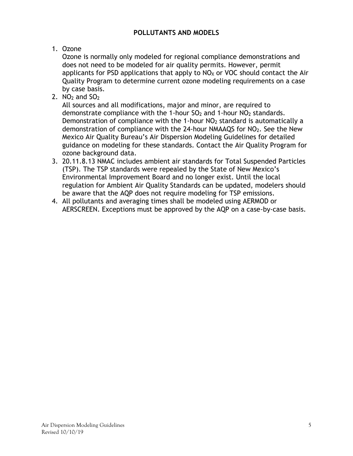### **POLLUTANTS AND MODELS**

# <span id="page-4-0"></span>1. Ozone

Ozone is normally only modeled for regional compliance demonstrations and does not need to be modeled for air quality permits. However, permit applicants for PSD applications that apply to  $NO<sub>X</sub>$  or VOC should contact the Air Quality Program to determine current ozone modeling requirements on a case by case basis.

2.  $NO<sub>2</sub>$  and  $SO<sub>2</sub>$ 

All sources and all modifications, major and minor, are required to demonstrate compliance with the 1-hour  $SO<sub>2</sub>$  and 1-hour  $NO<sub>2</sub>$  standards. Demonstration of compliance with the 1-hour  $NO<sub>2</sub>$  standard is automatically a demonstration of compliance with the 24-hour NMAAQS for NO<sub>2</sub>. See the New Mexico Air Quality Bureau's Air Dispersion Modeling Guidelines for detailed guidance on modeling for these standards. Contact the Air Quality Program for ozone background data.

- 3. 20.11.8.13 NMAC includes ambient air standards for Total Suspended Particles (TSP). The TSP standards were repealed by the State of New Mexico's Environmental Improvement Board and no longer exist. Until the local regulation for Ambient Air Quality Standards can be updated, modelers should be aware that the AQP does not require modeling for TSP emissions.
- 4. All pollutants and averaging times shall be modeled using AERMOD or AERSCREEN. Exceptions must be approved by the AQP on a case-by-case basis.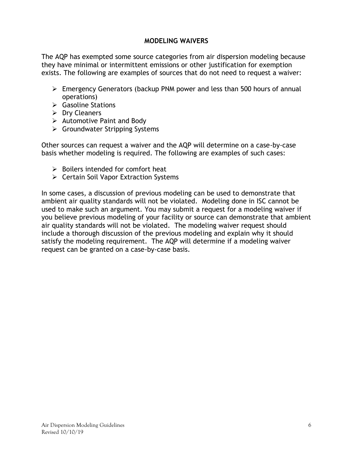#### **MODELING WAIVERS**

<span id="page-5-0"></span>The AQP has exempted some source categories from air dispersion modeling because they have minimal or intermittent emissions or other justification for exemption exists. The following are examples of sources that do not need to request a waiver:

- Emergency Generators (backup PNM power and less than 500 hours of annual operations)
- $\triangleright$  Gasoline Stations
- $\triangleright$  Dry Cleaners
- $\triangleright$  Automotive Paint and Body
- Groundwater Stripping Systems

Other sources can request a waiver and the AQP will determine on a case-by-case basis whether modeling is required. The following are examples of such cases:

- $\triangleright$  Boilers intended for comfort heat
- $\triangleright$  Certain Soil Vapor Extraction Systems

In some cases, a discussion of previous modeling can be used to demonstrate that ambient air quality standards will not be violated. Modeling done in ISC cannot be used to make such an argument. You may submit a request for a modeling waiver if you believe previous modeling of your facility or source can demonstrate that ambient air quality standards will not be violated. The modeling waiver request should include a thorough discussion of the previous modeling and explain why it should satisfy the modeling requirement. The AQP will determine if a modeling waiver request can be granted on a case-by-case basis.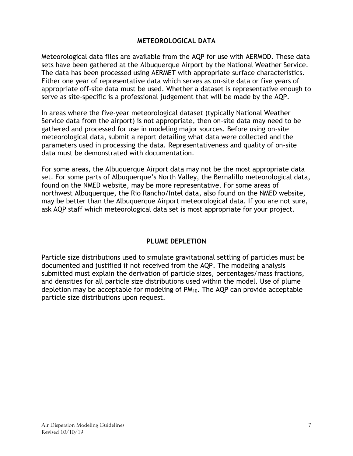#### **METEOROLOGICAL DATA**

<span id="page-6-0"></span>Meteorological data files are available from the AQP for use with AERMOD. These data sets have been gathered at the Albuquerque Airport by the National Weather Service. The data has been processed using AERMET with appropriate surface characteristics. Either one year of representative data which serves as on-site data or five years of appropriate off-site data must be used. Whether a dataset is representative enough to serve as site-specific is a professional judgement that will be made by the AQP.

In areas where the five-year meteorological dataset (typically National Weather Service data from the airport) is not appropriate, then on-site data may need to be gathered and processed for use in modeling major sources. Before using on-site meteorological data, submit a report detailing what data were collected and the parameters used in processing the data. Representativeness and quality of on-site data must be demonstrated with documentation.

For some areas, the Albuquerque Airport data may not be the most appropriate data set. For some parts of Albuquerque's North Valley, the Bernalillo meteorological data, found on the NMED website, may be more representative. For some areas of northwest Albuquerque, the Rio Rancho/Intel data, also found on the NMED website, may be better than the Albuquerque Airport meteorological data. If you are not sure, ask AQP staff which meteorological data set is most appropriate for your project.

#### **PLUME DEPLETION**

<span id="page-6-1"></span>Particle size distributions used to simulate gravitational settling of particles must be documented and justified if not received from the AQP. The modeling analysis submitted must explain the derivation of particle sizes, percentages/mass fractions, and densities for all particle size distributions used within the model. Use of plume depletion may be acceptable for modeling of PM10. The AQP can provide acceptable particle size distributions upon request.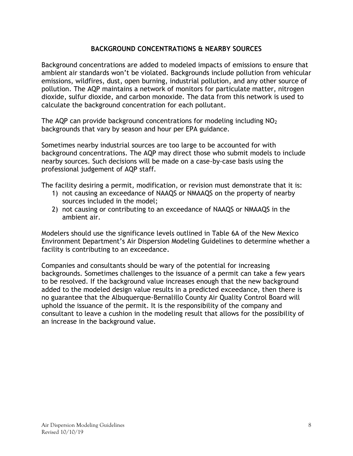### **BACKGROUND CONCENTRATIONS & NEARBY SOURCES**

<span id="page-7-0"></span>Background concentrations are added to modeled impacts of emissions to ensure that ambient air standards won't be violated. Backgrounds include pollution from vehicular emissions, wildfires, dust, open burning, industrial pollution, and any other source of pollution. The AQP maintains a network of monitors for particulate matter, nitrogen dioxide, sulfur dioxide, and carbon monoxide. The data from this network is used to calculate the background concentration for each pollutant.

The AOP can provide background concentrations for modeling including  $NO<sub>2</sub>$ backgrounds that vary by season and hour per EPA guidance.

Sometimes nearby industrial sources are too large to be accounted for with background concentrations. The AQP may direct those who submit models to include nearby sources. Such decisions will be made on a case-by-case basis using the professional judgement of AQP staff.

The facility desiring a permit, modification, or revision must demonstrate that it is:

- 1) not causing an exceedance of NAAQS or NMAAQS on the property of nearby sources included in the model;
- 2) not causing or contributing to an exceedance of NAAQS or NMAAQS in the ambient air.

Modelers should use the significance levels outlined in Table 6A of the New Mexico Environment Department's Air Dispersion Modeling Guidelines to determine whether a facility is contributing to an exceedance.

Companies and consultants should be wary of the potential for increasing backgrounds. Sometimes challenges to the issuance of a permit can take a few years to be resolved. If the background value increases enough that the new background added to the modeled design value results in a predicted exceedance, then there is no guarantee that the Albuquerque-Bernalillo County Air Quality Control Board will uphold the issuance of the permit. It is the responsibility of the company and consultant to leave a cushion in the modeling result that allows for the possibility of an increase in the background value.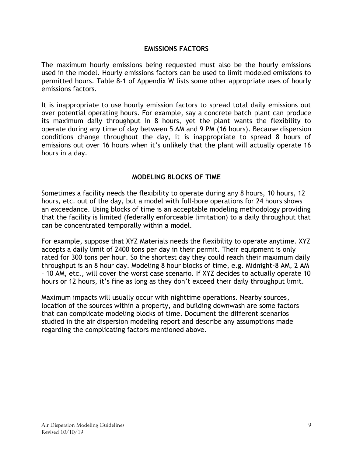#### **EMISSIONS FACTORS**

<span id="page-8-0"></span>The maximum hourly emissions being requested must also be the hourly emissions used in the model. Hourly emissions factors can be used to limit modeled emissions to permitted hours. Table 8-1 of Appendix W lists some other appropriate uses of hourly emissions factors.

It is inappropriate to use hourly emission factors to spread total daily emissions out over potential operating hours. For example, say a concrete batch plant can produce its maximum daily throughput in 8 hours, yet the plant wants the flexibility to operate during any time of day between 5 AM and 9 PM (16 hours). Because dispersion conditions change throughout the day, it is inappropriate to spread 8 hours of emissions out over 16 hours when it's unlikely that the plant will actually operate 16 hours in a day.

#### **MODELING BLOCKS OF TIME**

<span id="page-8-1"></span>Sometimes a facility needs the flexibility to operate during any 8 hours, 10 hours, 12 hours, etc. out of the day, but a model with full-bore operations for 24 hours shows an exceedance. Using blocks of time is an acceptable modeling methodology providing that the facility is limited (federally enforceable limitation) to a daily throughput that can be concentrated temporally within a model.

For example, suppose that XYZ Materials needs the flexibility to operate anytime. XYZ accepts a daily limit of 2400 tons per day in their permit. Their equipment is only rated for 300 tons per hour. So the shortest day they could reach their maximum daily throughput is an 8 hour day. Modeling 8 hour blocks of time, e.g. Midnight-8 AM, 2 AM – 10 AM, etc., will cover the worst case scenario. If XYZ decides to actually operate 10 hours or 12 hours, it's fine as long as they don't exceed their daily throughput limit.

Maximum impacts will usually occur with nighttime operations. Nearby sources, location of the sources within a property, and building downwash are some factors that can complicate modeling blocks of time. Document the different scenarios studied in the air dispersion modeling report and describe any assumptions made regarding the complicating factors mentioned above.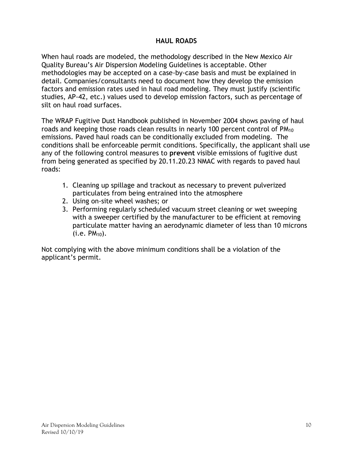# **HAUL ROADS**

<span id="page-9-0"></span>When haul roads are modeled, the methodology described in the New Mexico Air Quality Bureau's Air Dispersion Modeling Guidelines is acceptable. Other methodologies may be accepted on a case-by-case basis and must be explained in detail. Companies/consultants need to document how they develop the emission factors and emission rates used in haul road modeling. They must justify (scientific studies, AP-42, etc.) values used to develop emission factors, such as percentage of silt on haul road surfaces.

The WRAP Fugitive Dust Handbook published in November 2004 shows paving of haul roads and keeping those roads clean results in nearly 100 percent control of PM<sub>10</sub> emissions. Paved haul roads can be conditionally excluded from modeling. The conditions shall be enforceable permit conditions. Specifically, the applicant shall use any of the following control measures to **prevent** visible emissions of fugitive dust from being generated as specified by 20.11.20.23 NMAC with regards to paved haul roads:

- 1. Cleaning up spillage and trackout as necessary to prevent pulverized particulates from being entrained into the atmosphere
- 2. Using on-site wheel washes; or
- 3. Performing regularly scheduled vacuum street cleaning or wet sweeping with a sweeper certified by the manufacturer to be efficient at removing particulate matter having an aerodynamic diameter of less than 10 microns  $(i.e. PM_{10}).$

Not complying with the above minimum conditions shall be a violation of the applicant's permit.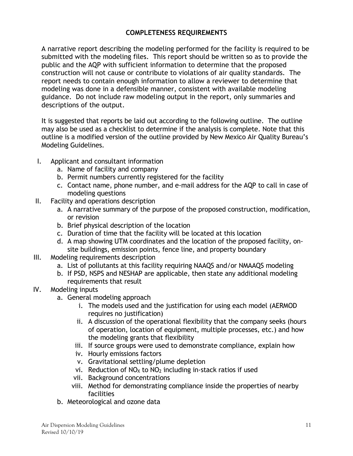## **COMPLETENESS REQUIREMENTS**

<span id="page-10-0"></span>A narrative report describing the modeling performed for the facility is required to be submitted with the modeling files. This report should be written so as to provide the public and the AQP with sufficient information to determine that the proposed construction will not cause or contribute to violations of air quality standards. The report needs to contain enough information to allow a reviewer to determine that modeling was done in a defensible manner, consistent with available modeling guidance. Do not include raw modeling output in the report, only summaries and descriptions of the output.

It is suggested that reports be laid out according to the following outline. The outline may also be used as a checklist to determine if the analysis is complete. Note that this outline is a modified version of the outline provided by New Mexico Air Quality Bureau's Modeling Guidelines.

- I. Applicant and consultant information
	- a. Name of facility and company
	- b. Permit numbers currently registered for the facility
	- c. Contact name, phone number, and e-mail address for the AQP to call in case of modeling questions
- II. Facility and operations description
	- a. A narrative summary of the purpose of the proposed construction, modification, or revision
	- b. Brief physical description of the location
	- c. Duration of time that the facility will be located at this location
	- d. A map showing UTM coordinates and the location of the proposed facility, onsite buildings, emission points, fence line, and property boundary
- III. Modeling requirements description
	- a. List of pollutants at this facility requiring NAAQS and/or NMAAQS modeling
	- b. If PSD, NSPS and NESHAP are applicable, then state any additional modeling requirements that result
- IV. Modeling inputs
	- a. General modeling approach
		- i. The models used and the justification for using each model (AERMOD requires no justification)
		- ii. A discussion of the operational flexibility that the company seeks (hours of operation, location of equipment, multiple processes, etc.) and how the modeling grants that flexibility
		- iii. If source groups were used to demonstrate compliance, explain how
		- iv. Hourly emissions factors
		- v. Gravitational settling/plume depletion
		- vi. Reduction of  $NO<sub>X</sub>$  to  $NO<sub>2</sub>$  including in-stack ratios if used
		- vii. Background concentrations
		- viii. Method for demonstrating compliance inside the properties of nearby facilities
	- b. Meteorological and ozone data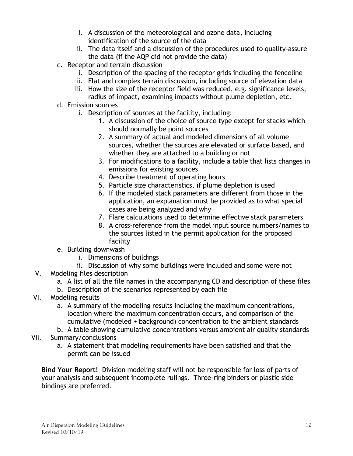- i. A discussion of the meteorological and ozone data, including identification of the source of the data
- ii. The data itself and a discussion of the procedures used to quality-assure the data (if the AQP did not provide the data)
- c. Receptor and terrain discussion
	- i. Description of the spacing of the receptor grids including the fenceline
	- ii. Flat and complex terrain discussion, including source of elevation data
	- iii. How the size of the receptor field was reduced, e.g. significance levels, radius of impact, examining impacts without plume depletion, etc.
- d. Emission sources
	- i. Description of sources at the facility, including:
		- 1. A discussion of the choice of source type except for stacks which should normally be point sources
		- 2. A summary of actual and modeled dimensions of all volume sources, whether the sources are elevated or surface based, and whether they are attached to a building or not
		- 3. For modifications to a facility, include a table that lists changes in emissions for existing sources
		- 4. Describe treatment of operating hours
		- 5. Particle size characteristics, if plume depletion is used
		- 6. If the modeled stack parameters are different from those in the application, an explanation must be provided as to what special cases are being analyzed and why
		- 7. Flare calculations used to determine effective stack parameters
		- 8. A cross-reference from the model input source numbers/names to the sources listed in the permit application for the proposed facility
- e. Building downwash
	- i. Dimensions of buildings
	- ii. Discussion of why some buildings were included and some were not
- V. Modeling files description
	- a. A list of all the file names in the accompanying CD and description of these files
	- b. Description of the scenarios represented by each file
- VI. Modeling results
	- a. A summary of the modeling results including the maximum concentrations, location where the maximum concentration occurs, and comparison of the cumulative (modeled + background) concentration to the ambient standards
	- b. A table showing cumulative concentrations versus ambient air quality standards
- VII. Summary/conclusions
	- a. A statement that modeling requirements have been satisfied and that the permit can be issued

**Bind Your Report!** Division modeling staff will not be responsible for loss of parts of your analysis and subsequent incomplete rulings. Three-ring binders or plastic side bindings are preferred.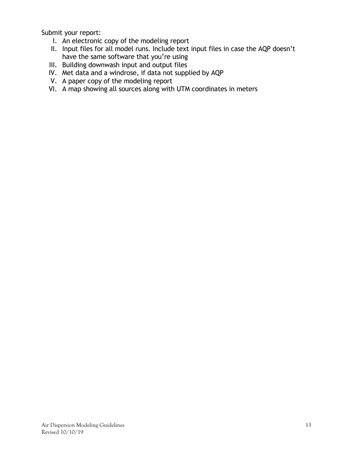Submit your report:

- I. An electronic copy of the modeling report
- II. Input files for all model runs. Include text input files in case the AQP doesn't have the same software that you're using
- III. Building downwash input and output files
- IV. Met data and a windrose, if data not supplied by AQP
- V. A paper copy of the modeling report
- VI. A map showing all sources along with UTM coordinates in meters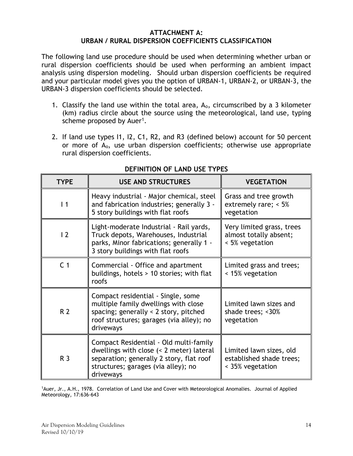#### **ATTACHMENT A: URBAN / RURAL DISPERSION COEFFICIENTS CLASSIFICATION**

<span id="page-13-0"></span>The following land use procedure should be used when determining whether urban or rural dispersion coefficients should be used when performing an ambient impact analysis using dispersion modeling. Should urban dispersion coefficients be required and your particular model gives you the option of URBAN-1, URBAN-2, or URBAN-3, the URBAN-3 dispersion coefficients should be selected.

- 1. Classify the land use within the total area,  $A_0$ , circumscribed by a 3 kilometer (km) radius circle about the source using the meteorological, land use, typing scheme proposed by Auer<sup>1</sup>.
- 2. If land use types I1, I2, C1, R2, and R3 (defined below) account for 50 percent or more of Ao, use urban dispersion coefficients; otherwise use appropriate rural dispersion coefficients.

| <b>TYPE</b>    | <b>USE AND STRUCTURES</b>                                                                                                                                                          | <b>VEGETATION</b>                                                       |
|----------------|------------------------------------------------------------------------------------------------------------------------------------------------------------------------------------|-------------------------------------------------------------------------|
| $\vert$ 1      | Heavy industrial - Major chemical, steel<br>and fabrication industries; generally 3 -<br>5 story buildings with flat roofs                                                         | Grass and tree growth<br>extremely rare; $< 5\%$<br>vegetation          |
| $\overline{2}$ | Light-moderate Industrial - Rail yards,<br>Truck depots, Warehouses, Industrial<br>parks, Minor fabrications; generally 1 -<br>3 story buildings with flat roofs                   | Very limited grass, trees<br>almost totally absent;<br>< 5% vegetation  |
| C <sub>1</sub> | Commercial - Office and apartment<br>buildings, hotels > 10 stories; with flat<br>roofs                                                                                            | Limited grass and trees;<br>< 15% vegetation                            |
| R <sub>2</sub> | Compact residential - Single, some<br>multiple family dwellings with close<br>spacing; generally < 2 story, pitched<br>roof structures; garages (via alley); no<br>driveways       | Limited lawn sizes and<br>shade trees; <30%<br>vegetation               |
| R <sub>3</sub> | Compact Residential - Old multi-family<br>dwellings with close (< 2 meter) lateral<br>separation; generally 2 story, flat roof<br>structures; garages (via alley); no<br>driveways | Limited lawn sizes, old<br>established shade trees;<br>< 35% vegetation |

# **DEFINITION OF LAND USE TYPES**

<sup>1</sup>Auer, Jr., A.H., 1978. Correlation of Land Use and Cover with Meteorological Anomalies. Journal of Applied Meteorology, 17:636-643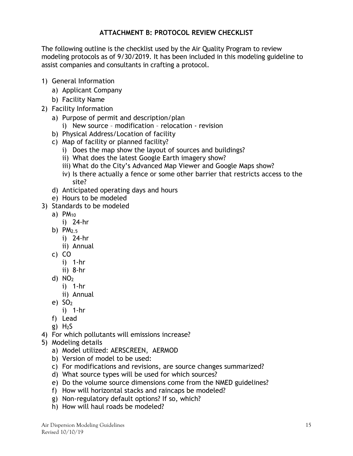# **ATTACHMENT B: PROTOCOL REVIEW CHECKLIST**

<span id="page-14-0"></span>The following outline is the checklist used by the Air Quality Program to review modeling protocols as of 9/30/2019. It has been included in this modeling guideline to assist companies and consultants in crafting a protocol.

- 1) General Information
	- a) Applicant Company
	- b) Facility Name
- 2) Facility Information
	- a) Purpose of permit and description/plan
		- i) New source modification relocation revision
	- b) Physical Address/Location of facility
	- c) Map of facility or planned facility?
		- i) Does the map show the layout of sources and buildings?
		- ii) What does the latest Google Earth imagery show?
		- iii) What do the City's Advanced Map Viewer and Google Maps show?
		- iv) Is there actually a fence or some other barrier that restricts access to the site?
	- d) Anticipated operating days and hours
	- e) Hours to be modeled
- 3) Standards to be modeled
	- a)  $PM_{10}$ 
		- i) 24-hr
	- b)  $PM<sub>2.5</sub>$ 
		- i) 24-hr
		- ii) Annual
	- c) CO
		- i) 1-hr
		- ii) 8-hr
	- d)  $NO<sub>2</sub>$ 
		- i) 1-hr
		- ii) Annual
	- e)  $SO<sub>2</sub>$ 
		- i) 1-hr
	- f) Lead
	- g)  $H<sub>2</sub>S$
- 4) For which pollutants will emissions increase?
- 5) Modeling details
	- a) Model utilized: AERSCREEN, AERMOD
	- b) Version of model to be used:
	- c) For modifications and revisions, are source changes summarized?
	- d) What source types will be used for which sources?
	- e) Do the volume source dimensions come from the NMED guidelines?
	- f) How will horizontal stacks and raincaps be modeled?
	- g) Non-regulatory default options? If so, which?
	- h) How will haul roads be modeled?